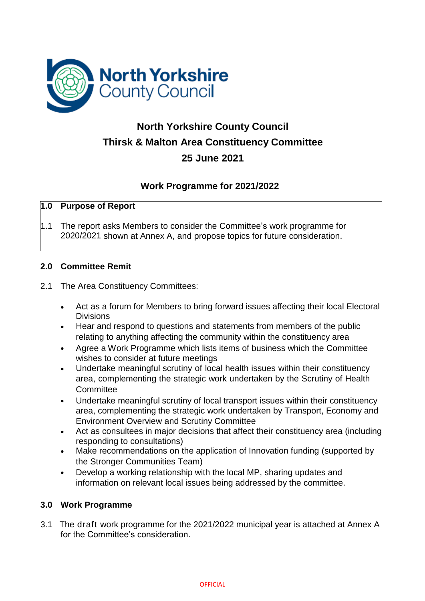

# **North Yorkshire County Council Thirsk & Malton Area Constituency Committee 25 June 2021**

# **Work Programme for 2021/2022**

# **1.0 Purpose of Report**

1.1 The report asks Members to consider the Committee's work programme for 2020/2021 shown at Annex A, and propose topics for future consideration.

#### **2.0 Committee Remit**

### 2.1 The Area Constituency Committees:

- Act as a forum for Members to bring forward issues affecting their local Electoral Divisions
- Hear and respond to questions and statements from members of the public relating to anything affecting the community within the constituency area
- Agree a Work Programme which lists items of business which the Committee wishes to consider at future meetings
- Undertake meaningful scrutiny of local health issues within their constituency area, complementing the strategic work undertaken by the Scrutiny of Health **Committee**
- Undertake meaningful scrutiny of local transport issues within their constituency area, complementing the strategic work undertaken by Transport, Economy and Environment Overview and Scrutiny Committee
- Act as consultees in major decisions that affect their constituency area (including responding to consultations)
- Make recommendations on the application of Innovation funding (supported by the Stronger Communities Team)
- Develop a working relationship with the local MP, sharing updates and information on relevant local issues being addressed by the committee.

# **3.0 Work Programme**

3.1 The draft work programme for the 2021/2022 municipal year is attached at Annex A for the Committee's consideration.